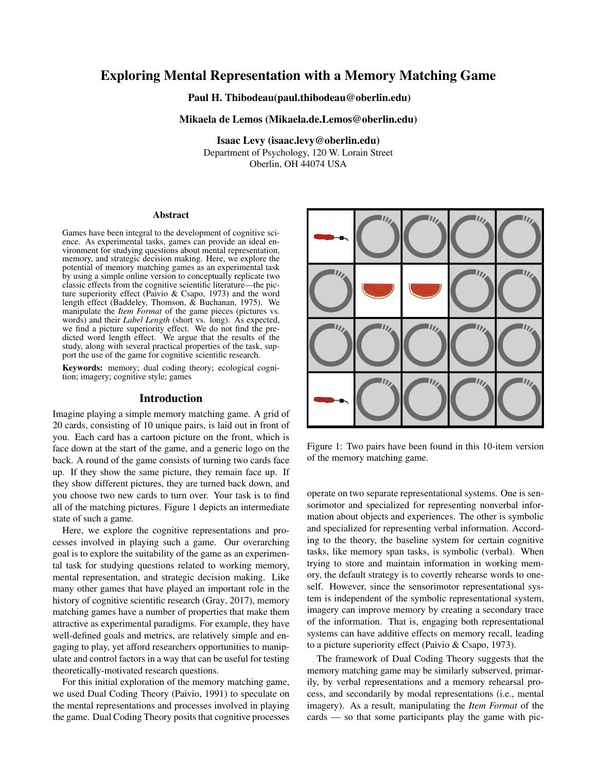# Exploring Mental Representation with a Memory Matching Game

Paul H. Thibodeau(paul.thibodeau@oberlin.edu)

## Mikaela de Lemos (Mikaela.de.Lemos@oberlin.edu)

Isaac Levy (isaac.levy@oberlin.edu) Department of Psychology, 120 W. Lorain Street Oberlin, OH 44074 USA

## **Abstract**

Games have been integral to the development of cognitive science. As experimental tasks, games can provide an ideal environment for studying questions about mental representation, memory, and strategic decision making. Here, we explore the potential of memory matching games as an experimental task by using a simple online version to conceptually replicate two classic effects from the cognitive scientific literature—the picture superiority effect (Paivio & Csapo, 1973) and the word length effect (Baddeley, Thomson, & Buchanan, 1975). We manipulate the *Item Format* of the game pieces (pictures vs. words) and their *Label Length* (short vs. long). As expected, we find a picture superiority effect. We do not find the predicted word length effect. We argue that the results of the study, along with several practical properties of the task, support the use of the game for cognitive scientific research.

Keywords: memory; dual coding theory; ecological cognition; imagery; cognitive style; games

#### Introduction

Imagine playing a simple memory matching game. A grid of 20 cards, consisting of 10 unique pairs, is laid out in front of you. Each card has a cartoon picture on the front, which is face down at the start of the game, and a generic logo on the back. A round of the game consists of turning two cards face up. If they show the same picture, they remain face up. If they show different pictures, they are turned back down, and you choose two new cards to turn over. Your task is to find all of the matching pictures. Figure 1 depicts an intermediate state of such a game.

Here, we explore the cognitive representations and processes involved in playing such a game. Our overarching goal is to explore the suitability of the game as an experimental task for studying questions related to working memory, mental representation, and strategic decision making. Like many other games that have played an important role in the history of cognitive scientific research (Gray, 2017), memory matching games have a number of properties that make them attractive as experimental paradigms. For example, they have well-defined goals and metrics, are relatively simple and engaging to play, yet afford researchers opportunities to manipulate and control factors in a way that can be useful for testing theoretically-motivated research questions.

For this initial exploration of the memory matching game, we used Dual Coding Theory (Paivio, 1991) to speculate on the mental representations and processes involved in playing the game. Dual Coding Theory posits that cognitive processes



Figure 1: Two pairs have been found in this 10-item version of the memory matching game.

operate on two separate representational systems. One is sensorimotor and specialized for representing nonverbal information about objects and experiences. The other is symbolic and specialized for representing verbal information. According to the theory, the baseline system for certain cognitive tasks, like memory span tasks, is symbolic (verbal). When trying to store and maintain information in working memory, the default strategy is to covertly rehearse words to oneself. However, since the sensorimotor representational system is independent of the symbolic representational system, imagery can improve memory by creating a secondary trace of the information. That is, engaging both representational systems can have additive effects on memory recall, leading to a picture superiority effect (Paivio & Csapo, 1973).

The framework of Dual Coding Theory suggests that the memory matching game may be similarly subserved, primarily, by verbal representations and a memory rehearsal process, and secondarily by modal representations (i.e., mental imagery). As a result, manipulating the *Item Format* of the cards — so that some participants play the game with pic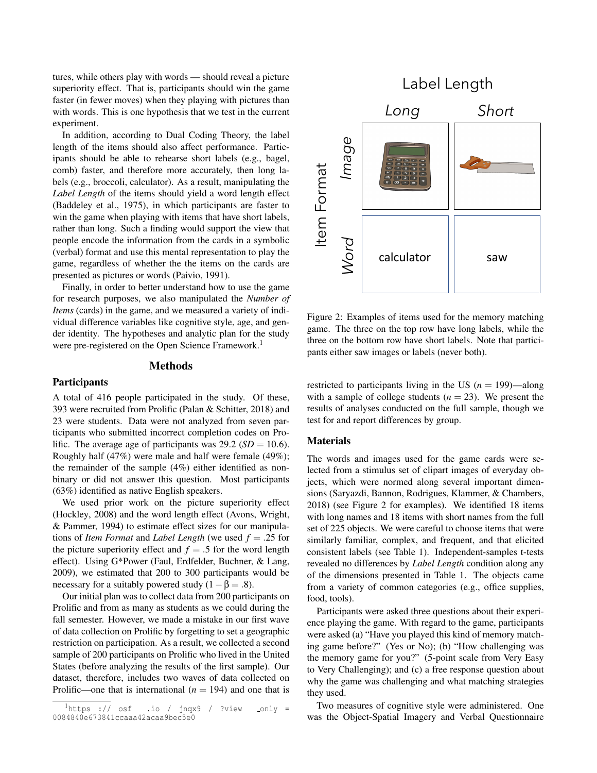tures, while others play with words — should reveal a picture superiority effect. That is, participants should win the game faster (in fewer moves) when they playing with pictures than with words. This is one hypothesis that we test in the current experiment.

In addition, according to Dual Coding Theory, the label length of the items should also affect performance. Participants should be able to rehearse short labels (e.g., bagel, comb) faster, and therefore more accurately, then long labels (e.g., broccoli, calculator). As a result, manipulating the *Label Length* of the items should yield a word length effect (Baddeley et al., 1975), in which participants are faster to win the game when playing with items that have short labels, rather than long. Such a finding would support the view that people encode the information from the cards in a symbolic (verbal) format and use this mental representation to play the game, regardless of whether the the items on the cards are presented as pictures or words (Paivio, 1991).

Finally, in order to better understand how to use the game for research purposes, we also manipulated the *Number of Items* (cards) in the game, and we measured a variety of individual difference variables like cognitive style, age, and gender identity. The hypotheses and analytic plan for the study were pre-registered on the Open Science Framework.<sup>1</sup>

#### Methods

## **Participants**

A total of 416 people participated in the study. Of these, 393 were recruited from Prolific (Palan & Schitter, 2018) and 23 were students. Data were not analyzed from seven participants who submitted incorrect completion codes on Prolific. The average age of participants was  $29.2$  (*SD* = 10.6). Roughly half (47%) were male and half were female (49%); the remainder of the sample (4%) either identified as nonbinary or did not answer this question. Most participants (63%) identified as native English speakers.

We used prior work on the picture superiority effect (Hockley, 2008) and the word length effect (Avons, Wright, & Pammer, 1994) to estimate effect sizes for our manipulations of *Item Format* and *Label Length* (we used *f* = .25 for the picture superiority effect and  $f = .5$  for the word length effect). Using G\*Power (Faul, Erdfelder, Buchner, & Lang, 2009), we estimated that 200 to 300 participants would be necessary for a suitably powered study  $(1 - \beta = .8)$ .

Our initial plan was to collect data from 200 participants on Prolific and from as many as students as we could during the fall semester. However, we made a mistake in our first wave of data collection on Prolific by forgetting to set a geographic restriction on participation. As a result, we collected a second sample of 200 participants on Prolific who lived in the United States (before analyzing the results of the first sample). Our dataset, therefore, includes two waves of data collected on Prolific—one that is international  $(n = 194)$  and one that is



Figure 2: Examples of items used for the memory matching game. The three on the top row have long labels, while the three on the bottom row have short labels. Note that participants either saw images or labels (never both).

restricted to participants living in the US  $(n = 199)$ —along with a sample of college students  $(n = 23)$ . We present the results of analyses conducted on the full sample, though we test for and report differences by group.

# **Materials**

The words and images used for the game cards were selected from a stimulus set of clipart images of everyday objects, which were normed along several important dimensions (Saryazdi, Bannon, Rodrigues, Klammer, & Chambers, 2018) (see Figure 2 for examples). We identified 18 items with long names and 18 items with short names from the full set of 225 objects. We were careful to choose items that were similarly familiar, complex, and frequent, and that elicited consistent labels (see Table 1). Independent-samples t-tests revealed no differences by *Label Length* condition along any of the dimensions presented in Table 1. The objects came from a variety of common categories (e.g., office supplies, food, tools).

Participants were asked three questions about their experience playing the game. With regard to the game, participants were asked (a) "Have you played this kind of memory matching game before?" (Yes or No); (b) "How challenging was the memory game for you?" (5-point scale from Very Easy to Very Challenging); and (c) a free response question about why the game was challenging and what matching strategies they used.

Two measures of cognitive style were administered. One was the Object-Spatial Imagery and Verbal Questionnaire

 $\frac{1}{1}$ https :// osf .io / jnqx9 / ?view \_only = 0084840e673841ccaaa42acaa9bec5e0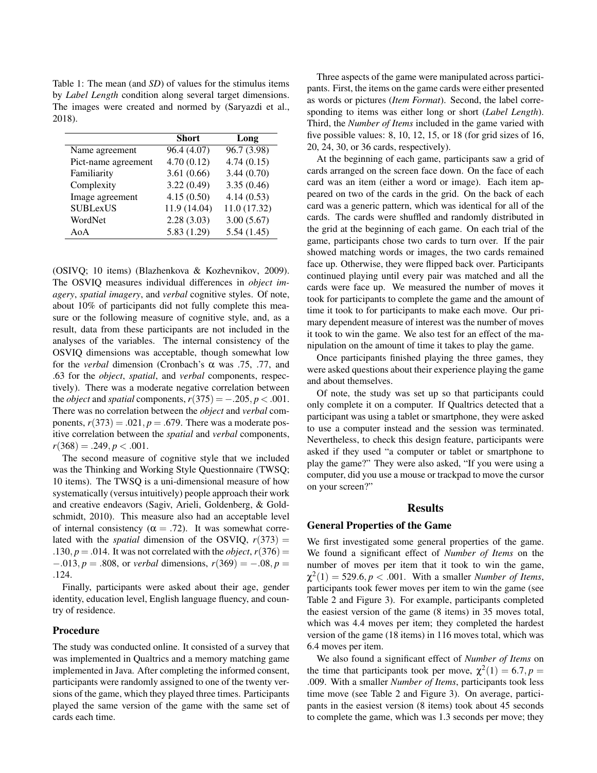Table 1: The mean (and *SD*) of values for the stimulus items by *Label Length* condition along several target dimensions. The images were created and normed by (Saryazdi et al., 2018).

|                     | Short        | Long         |
|---------------------|--------------|--------------|
| Name agreement      | 96.4 (4.07)  | 96.7(3.98)   |
| Pict-name agreement | 4.70(0.12)   | 4.74(0.15)   |
| Familiarity         | 3.61(0.66)   | 3.44(0.70)   |
| Complexity          | 3.22(0.49)   | 3.35(0.46)   |
| Image agreement     | 4.15(0.50)   | 4.14(0.53)   |
| <b>SUBLexUS</b>     | 11.9 (14.04) | 11.0 (17.32) |
| WordNet             | 2.28(3.03)   | 3.00(5.67)   |
| AoA                 | 5.83(1.29)   | 5.54(1.45)   |

(OSIVQ; 10 items) (Blazhenkova & Kozhevnikov, 2009). The OSVIQ measures individual differences in *object imagery*, *spatial imagery*, and *verbal* cognitive styles. Of note, about 10% of participants did not fully complete this measure or the following measure of cognitive style, and, as a result, data from these participants are not included in the analyses of the variables. The internal consistency of the OSVIQ dimensions was acceptable, though somewhat low for the *verbal* dimension (Cronbach's α was .75, .77, and .63 for the *object*, *spatial*, and *verbal* components, respectively). There was a moderate negative correlation between the *object* and *spatial* components,  $r(375) = -.205, p < .001$ . There was no correlation between the *object* and *verbal* components,  $r(373) = .021$ ,  $p = .679$ . There was a moderate positive correlation between the *spatial* and *verbal* components,  $r(368) = .249, p < .001.$ 

The second measure of cognitive style that we included was the Thinking and Working Style Questionnaire (TWSQ; 10 items). The TWSQ is a uni-dimensional measure of how systematically (versus intuitively) people approach their work and creative endeavors (Sagiv, Arieli, Goldenberg, & Goldschmidt, 2010). This measure also had an acceptable level of internal consistency ( $\alpha = .72$ ). It was somewhat correlated with the *spatial* dimension of the OSVIQ,  $r(373)$  = .130,  $p = .014$ . It was not correlated with the *object*,  $r(376) =$ −.013, *p* = .808, or *verbal* dimensions, *r*(369) = −.08, *p* = .124.

Finally, participants were asked about their age, gender identity, education level, English language fluency, and country of residence.

### Procedure

The study was conducted online. It consisted of a survey that was implemented in Qualtrics and a memory matching game implemented in Java. After completing the informed consent, participants were randomly assigned to one of the twenty versions of the game, which they played three times. Participants played the same version of the game with the same set of cards each time.

Three aspects of the game were manipulated across participants. First, the items on the game cards were either presented as words or pictures (*Item Format*). Second, the label corresponding to items was either long or short (*Label Length*). Third, the *Number of Items* included in the game varied with five possible values: 8, 10, 12, 15, or 18 (for grid sizes of 16, 20, 24, 30, or 36 cards, respectively).

At the beginning of each game, participants saw a grid of cards arranged on the screen face down. On the face of each card was an item (either a word or image). Each item appeared on two of the cards in the grid. On the back of each card was a generic pattern, which was identical for all of the cards. The cards were shuffled and randomly distributed in the grid at the beginning of each game. On each trial of the game, participants chose two cards to turn over. If the pair showed matching words or images, the two cards remained face up. Otherwise, they were flipped back over. Participants continued playing until every pair was matched and all the cards were face up. We measured the number of moves it took for participants to complete the game and the amount of time it took to for participants to make each move. Our primary dependent measure of interest was the number of moves it took to win the game. We also test for an effect of the manipulation on the amount of time it takes to play the game.

Once participants finished playing the three games, they were asked questions about their experience playing the game and about themselves.

Of note, the study was set up so that participants could only complete it on a computer. If Qualtrics detected that a participant was using a tablet or smartphone, they were asked to use a computer instead and the session was terminated. Nevertheless, to check this design feature, participants were asked if they used "a computer or tablet or smartphone to play the game?" They were also asked, "If you were using a computer, did you use a mouse or trackpad to move the cursor on your screen?"

#### **Results**

#### General Properties of the Game

We first investigated some general properties of the game. We found a significant effect of *Number of Items* on the number of moves per item that it took to win the game,  $\chi^2(1) = 529.6, p < .001$ . With a smaller *Number of Items*, participants took fewer moves per item to win the game (see Table 2 and Figure 3). For example, participants completed the easiest version of the game (8 items) in 35 moves total, which was 4.4 moves per item; they completed the hardest version of the game (18 items) in 116 moves total, which was 6.4 moves per item.

We also found a significant effect of *Number of Items* on the time that participants took per move,  $\chi^2(1) = 6.7, p =$ .009. With a smaller *Number of Items*, participants took less time move (see Table 2 and Figure 3). On average, participants in the easiest version (8 items) took about 45 seconds to complete the game, which was 1.3 seconds per move; they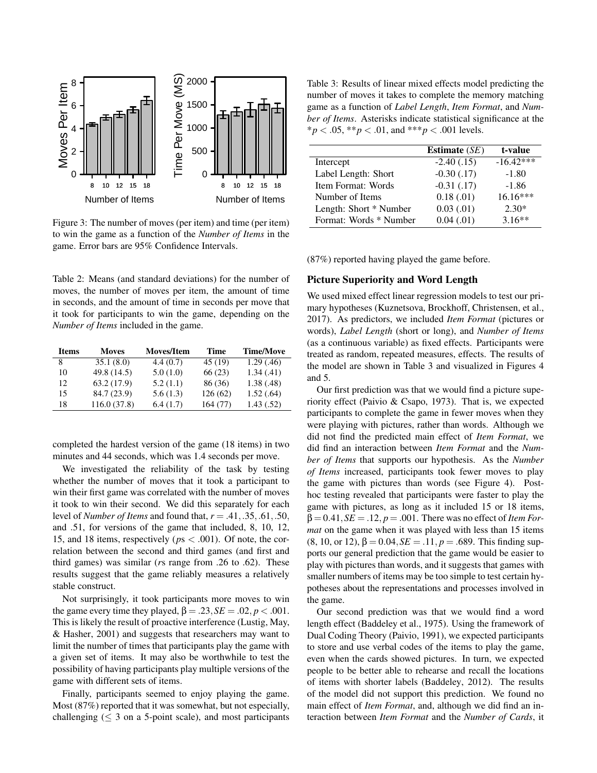

Figure 3: The number of moves (per item) and time (per item) to win the game as a function of the *Number of Items* in the game. Error bars are 95% Confidence Intervals.

Table 2: Means (and standard deviations) for the number of moves, the number of moves per item, the amount of time in seconds, and the amount of time in seconds per move that it took for participants to win the game, depending on the *Number of Items* included in the game.

| <b>Items</b> | <b>Moves</b> | <b>Moves/Item</b> | Time    | <b>Time/Move</b> |
|--------------|--------------|-------------------|---------|------------------|
| 8            | 35.1(8.0)    | 4.4(0.7)          | 45(19)  | 1.29(0.46)       |
| 10           | 49.8 (14.5)  | 5.0(1.0)          | 66(23)  | 1.34(0.41)       |
| 12           | 63.2(17.9)   | 5.2(1.1)          | 86 (36) | 1.38(0.48)       |
| 15           | 84.7 (23.9)  | 5.6(1.3)          | 126(62) | 1.52(.64)        |
| 18           | 116.0(37.8)  | 6.4(1.7)          | 164(77) | 1.43(.52)        |

completed the hardest version of the game (18 items) in two minutes and 44 seconds, which was 1.4 seconds per move.

We investigated the reliability of the task by testing whether the number of moves that it took a participant to win their first game was correlated with the number of moves it took to win their second. We did this separately for each level of *Number of Items* and found that, *r* = .41,.35,.61,.50, and .51, for versions of the game that included, 8, 10, 12, 15, and 18 items, respectively (*p*s < .001). Of note, the correlation between the second and third games (and first and third games) was similar (*r*s range from .26 to .62). These results suggest that the game reliably measures a relatively stable construct.

Not surprisingly, it took participants more moves to win the game every time they played,  $\beta = .23$ ,  $SE = .02$ ,  $p < .001$ . This is likely the result of proactive interference (Lustig, May, & Hasher, 2001) and suggests that researchers may want to limit the number of times that participants play the game with a given set of items. It may also be worthwhile to test the possibility of having participants play multiple versions of the game with different sets of items.

Finally, participants seemed to enjoy playing the game. Most (87%) reported that it was somewhat, but not especially, challenging ( $\leq$  3 on a 5-point scale), and most participants

Table 3: Results of linear mixed effects model predicting the number of moves it takes to complete the memory matching game as a function of *Label Length*, *Item Format*, and *Number of Items*. Asterisks indicate statistical significance at the  $**p* < .05, ***p* < .01, and ****p* < .001 levels.$ 

|                        | Estimate $(SE)$ | t-value     |
|------------------------|-----------------|-------------|
| Intercept              | $-2.40(0.15)$   | $-16.42***$ |
| Label Length: Short    | $-0.30$ $(.17)$ | $-1.80$     |
| Item Format: Words     | $-0.31(0.17)$   | $-1.86$     |
| Number of Items        | 0.18(0.01)      | $16.16***$  |
| Length: Short * Number | 0.03(0.01)      | $2.30*$     |
| Format: Words * Number | 0.04(0.01)      | $3.16**$    |

(87%) reported having played the game before.

## Picture Superiority and Word Length

We used mixed effect linear regression models to test our primary hypotheses (Kuznetsova, Brockhoff, Christensen, et al., 2017). As predictors, we included *Item Format* (pictures or words), *Label Length* (short or long), and *Number of Items* (as a continuous variable) as fixed effects. Participants were treated as random, repeated measures, effects. The results of the model are shown in Table 3 and visualized in Figures 4 and 5.

Our first prediction was that we would find a picture superiority effect (Paivio & Csapo, 1973). That is, we expected participants to complete the game in fewer moves when they were playing with pictures, rather than words. Although we did not find the predicted main effect of *Item Format*, we did find an interaction between *Item Format* and the *Number of Items* that supports our hypothesis. As the *Number of Items* increased, participants took fewer moves to play the game with pictures than words (see Figure 4). Posthoc testing revealed that participants were faster to play the game with pictures, as long as it included 15 or 18 items,  $\beta = 0.41, SE = .12, p = .001$ . There was no effect of *Item Format* on the game when it was played with less than 15 items (8, 10, or 12),  $\beta = 0.04$ ,  $SE = .11$ ,  $p = .689$ . This finding supports our general prediction that the game would be easier to play with pictures than words, and it suggests that games with smaller numbers of items may be too simple to test certain hypotheses about the representations and processes involved in the game.

Our second prediction was that we would find a word length effect (Baddeley et al., 1975). Using the framework of Dual Coding Theory (Paivio, 1991), we expected participants to store and use verbal codes of the items to play the game, even when the cards showed pictures. In turn, we expected people to be better able to rehearse and recall the locations of items with shorter labels (Baddeley, 2012). The results of the model did not support this prediction. We found no main effect of *Item Format*, and, although we did find an interaction between *Item Format* and the *Number of Cards*, it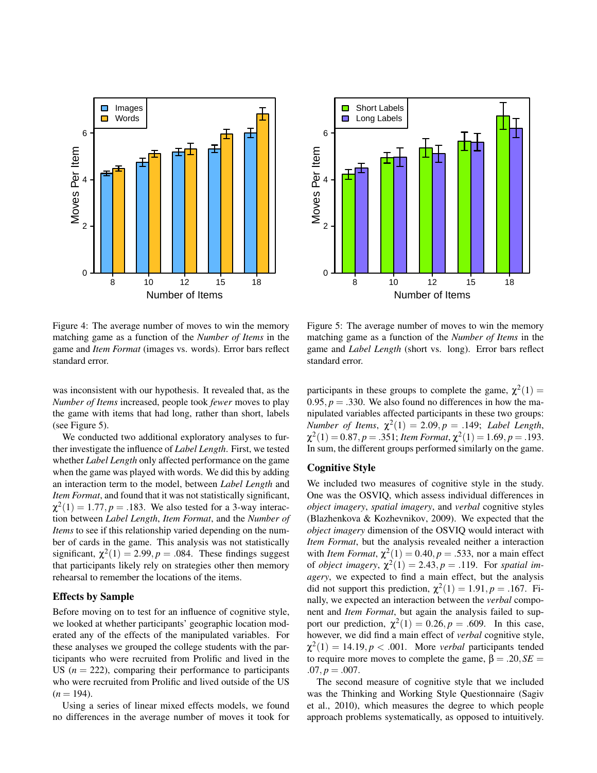



Figure 4: The average number of moves to win the memory matching game as a function of the *Number of Items* in the game and *Item Format* (images vs. words). Error bars reflect standard error.

was inconsistent with our hypothesis. It revealed that, as the *Number of Items* increased, people took *fewer* moves to play the game with items that had long, rather than short, labels (see Figure 5).

We conducted two additional exploratory analyses to further investigate the influence of *Label Length*. First, we tested whether *Label Length* only affected performance on the game when the game was played with words. We did this by adding an interaction term to the model, between *Label Length* and *Item Format*, and found that it was not statistically significant,  $\chi^2(1) = 1.77, p = .183$ . We also tested for a 3-way interaction between *Label Length*, *Item Format*, and the *Number of Items* to see if this relationship varied depending on the number of cards in the game. This analysis was not statistically significant,  $\chi^2(1) = 2.99, p = .084$ . These findings suggest that participants likely rely on strategies other then memory rehearsal to remember the locations of the items.

## Effects by Sample

Before moving on to test for an influence of cognitive style, we looked at whether participants' geographic location moderated any of the effects of the manipulated variables. For these analyses we grouped the college students with the participants who were recruited from Prolific and lived in the US  $(n = 222)$ , comparing their performance to participants who were recruited from Prolific and lived outside of the US  $(n = 194)$ .

Using a series of linear mixed effects models, we found no differences in the average number of moves it took for

Figure 5: The average number of moves to win the memory matching game as a function of the *Number of Items* in the game and *Label Length* (short vs. long). Error bars reflect standard error.

participants in these groups to complete the game,  $\chi^2(1)$  = 0.95,  $p = 0.330$ . We also found no differences in how the manipulated variables affected participants in these two groups: *Number of Items,*  $\chi^2(1) = 2.09, p = .149$ ; *Label Length*,  $\chi^2(1) = 0.87, p = .351;$  *Item Format*,  $\chi^2(1) = 1.69, p = .193.$ In sum, the different groups performed similarly on the game.

# Cognitive Style

We included two measures of cognitive style in the study. One was the OSVIQ, which assess individual differences in *object imagery*, *spatial imagery*, and *verbal* cognitive styles (Blazhenkova & Kozhevnikov, 2009). We expected that the *object imagery* dimension of the OSVIQ would interact with *Item Format*, but the analysis revealed neither a interaction with *Item Format*,  $\chi^2(1) = 0.40, p = .533$ , nor a main effect of *object imagery*,  $\chi^2(1) = 2.43$ ,  $p = .119$ . For *spatial imagery*, we expected to find a main effect, but the analysis did not support this prediction,  $\chi^2(1) = 1.91, p = .167$ . Finally, we expected an interaction between the *verbal* component and *Item Format*, but again the analysis failed to support our prediction,  $\chi^2(1) = 0.26, p = .609$ . In this case, however, we did find a main effect of *verbal* cognitive style,  $\chi^2(1) = 14.19, p < .001$ . More *verbal* participants tended to require more moves to complete the game,  $β = .20, SE =$  $.07, p = .007.$ 

The second measure of cognitive style that we included was the Thinking and Working Style Questionnaire (Sagiv et al., 2010), which measures the degree to which people approach problems systematically, as opposed to intuitively.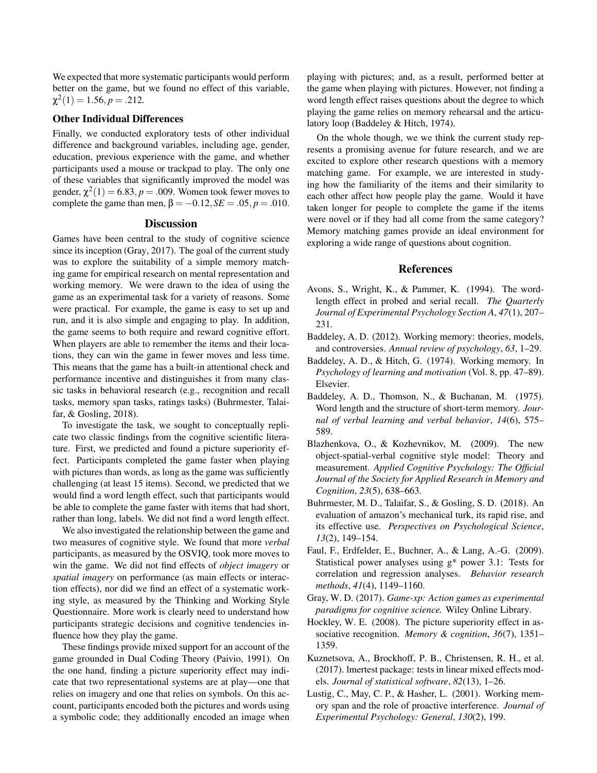We expected that more systematic participants would perform better on the game, but we found no effect of this variable,  $\chi^2(1) = 1.56, p = .212.$ 

## Other Individual Differences

Finally, we conducted exploratory tests of other individual difference and background variables, including age, gender, education, previous experience with the game, and whether participants used a mouse or trackpad to play. The only one of these variables that significantly improved the model was gender,  $\chi^2(1) = 6.83, p = .009$ . Women took fewer moves to complete the game than men,  $β = -0.12, SE = .05, p = .010$ .

#### **Discussion**

Games have been central to the study of cognitive science since its inception (Gray, 2017). The goal of the current study was to explore the suitability of a simple memory matching game for empirical research on mental representation and working memory. We were drawn to the idea of using the game as an experimental task for a variety of reasons. Some were practical. For example, the game is easy to set up and run, and it is also simple and engaging to play. In addition, the game seems to both require and reward cognitive effort. When players are able to remember the items and their locations, they can win the game in fewer moves and less time. This means that the game has a built-in attentional check and performance incentive and distinguishes it from many classic tasks in behavioral research (e.g., recognition and recall tasks, memory span tasks, ratings tasks) (Buhrmester, Talaifar, & Gosling, 2018).

To investigate the task, we sought to conceptually replicate two classic findings from the cognitive scientific literature. First, we predicted and found a picture superiority effect. Participants completed the game faster when playing with pictures than words, as long as the game was sufficiently challenging (at least 15 items). Second, we predicted that we would find a word length effect, such that participants would be able to complete the game faster with items that had short, rather than long, labels. We did not find a word length effect.

We also investigated the relationship between the game and two measures of cognitive style. We found that more *verbal* participants, as measured by the OSVIQ, took more moves to win the game. We did not find effects of *object imagery* or *spatial imagery* on performance (as main effects or interaction effects), nor did we find an effect of a systematic working style, as measured by the Thinking and Working Style Questionnaire. More work is clearly need to understand how participants strategic decisions and cognitive tendencies influence how they play the game.

These findings provide mixed support for an account of the game grounded in Dual Coding Theory (Paivio, 1991). On the one hand, finding a picture superiority effect may indicate that two representational systems are at play—one that relies on imagery and one that relies on symbols. On this account, participants encoded both the pictures and words using a symbolic code; they additionally encoded an image when playing with pictures; and, as a result, performed better at the game when playing with pictures. However, not finding a word length effect raises questions about the degree to which playing the game relies on memory rehearsal and the articulatory loop (Baddeley & Hitch, 1974).

On the whole though, we we think the current study represents a promising avenue for future research, and we are excited to explore other research questions with a memory matching game. For example, we are interested in studying how the familiarity of the items and their similarity to each other affect how people play the game. Would it have taken longer for people to complete the game if the items were novel or if they had all come from the same category? Memory matching games provide an ideal environment for exploring a wide range of questions about cognition.

## References

- Avons, S., Wright, K., & Pammer, K. (1994). The wordlength effect in probed and serial recall. *The Quarterly Journal of Experimental Psychology Section A*, *47*(1), 207– 231.
- Baddeley, A. D. (2012). Working memory: theories, models, and controversies. *Annual review of psychology*, *63*, 1–29.
- Baddeley, A. D., & Hitch, G. (1974). Working memory. In *Psychology of learning and motivation* (Vol. 8, pp. 47–89). Elsevier.
- Baddeley, A. D., Thomson, N., & Buchanan, M. (1975). Word length and the structure of short-term memory. *Journal of verbal learning and verbal behavior*, *14*(6), 575– 589.
- Blazhenkova, O., & Kozhevnikov, M. (2009). The new object-spatial-verbal cognitive style model: Theory and measurement. *Applied Cognitive Psychology: The Official Journal of the Society for Applied Research in Memory and Cognition*, *23*(5), 638–663.
- Buhrmester, M. D., Talaifar, S., & Gosling, S. D. (2018). An evaluation of amazon's mechanical turk, its rapid rise, and its effective use. *Perspectives on Psychological Science*, *13*(2), 149–154.
- Faul, F., Erdfelder, E., Buchner, A., & Lang, A.-G. (2009). Statistical power analyses using g\* power 3.1: Tests for correlation and regression analyses. *Behavior research methods*, *41*(4), 1149–1160.
- Gray, W. D. (2017). *Game-xp: Action games as experimental paradigms for cognitive science.* Wiley Online Library.
- Hockley, W. E. (2008). The picture superiority effect in associative recognition. *Memory & cognition*, *36*(7), 1351– 1359.
- Kuznetsova, A., Brockhoff, P. B., Christensen, R. H., et al. (2017). lmertest package: tests in linear mixed effects models. *Journal of statistical software*, *82*(13), 1–26.
- Lustig, C., May, C. P., & Hasher, L. (2001). Working memory span and the role of proactive interference. *Journal of Experimental Psychology: General*, *130*(2), 199.